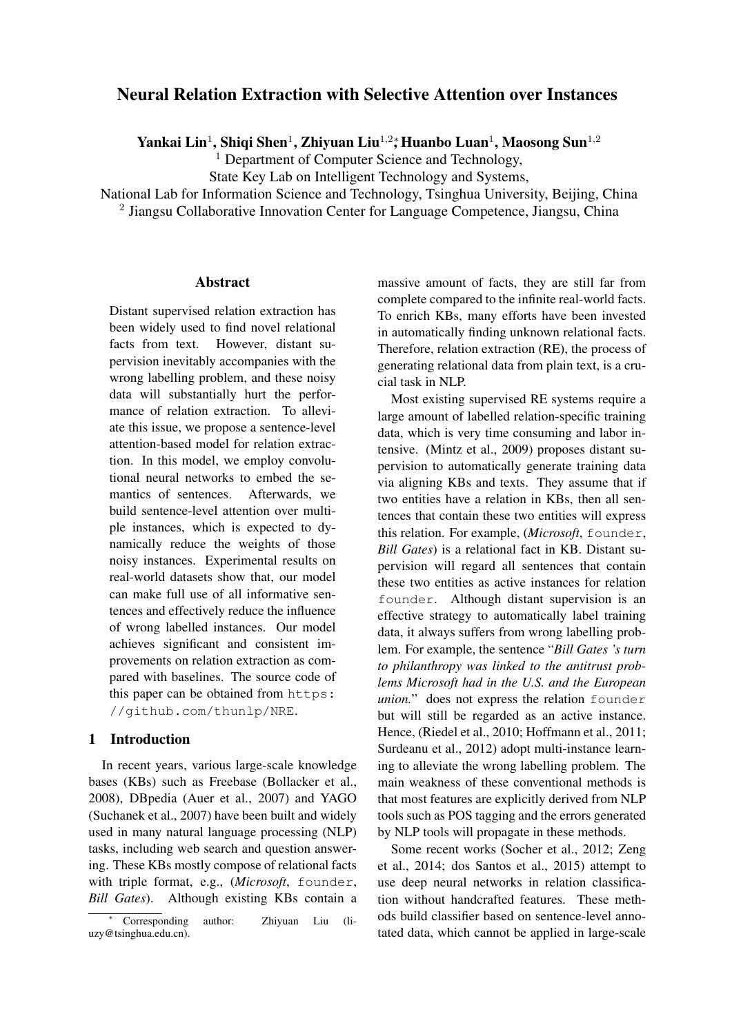# Neural Relation Extraction with Selective Attention over Instances

Yankai Lin<sup>1</sup>, Shiqi Shen<sup>1</sup>, Zhiyuan Liu<sup>1,2</sup>\*, Huanbo Luan<sup>1</sup>, Maosong Sun<sup>1,2</sup>

<sup>1</sup> Department of Computer Science and Technology,

State Key Lab on Intelligent Technology and Systems,

National Lab for Information Science and Technology, Tsinghua University, Beijing, China <sup>2</sup> Jiangsu Collaborative Innovation Center for Language Competence, Jiangsu, China

#### Abstract

Distant supervised relation extraction has been widely used to find novel relational facts from text. However, distant supervision inevitably accompanies with the wrong labelling problem, and these noisy data will substantially hurt the performance of relation extraction. To alleviate this issue, we propose a sentence-level attention-based model for relation extraction. In this model, we employ convolutional neural networks to embed the semantics of sentences. Afterwards, we build sentence-level attention over multiple instances, which is expected to dynamically reduce the weights of those noisy instances. Experimental results on real-world datasets show that, our model can make full use of all informative sentences and effectively reduce the influence of wrong labelled instances. Our model achieves significant and consistent improvements on relation extraction as compared with baselines. The source code of this paper can be obtained from https: //github.com/thunlp/NRE.

## 1 Introduction

In recent years, various large-scale knowledge bases (KBs) such as Freebase (Bollacker et al., 2008), DBpedia (Auer et al., 2007) and YAGO (Suchanek et al., 2007) have been built and widely used in many natural language processing (NLP) tasks, including web search and question answering. These KBs mostly compose of relational facts with triple format, e.g., (*Microsoft*, founder, *Bill Gates*). Although existing KBs contain a

massive amount of facts, they are still far from complete compared to the infinite real-world facts. To enrich KBs, many efforts have been invested in automatically finding unknown relational facts. Therefore, relation extraction (RE), the process of generating relational data from plain text, is a crucial task in NLP.

Most existing supervised RE systems require a large amount of labelled relation-specific training data, which is very time consuming and labor intensive. (Mintz et al., 2009) proposes distant supervision to automatically generate training data via aligning KBs and texts. They assume that if two entities have a relation in KBs, then all sentences that contain these two entities will express this relation. For example, (*Microsoft*, founder, *Bill Gates*) is a relational fact in KB. Distant supervision will regard all sentences that contain these two entities as active instances for relation founder. Although distant supervision is an effective strategy to automatically label training data, it always suffers from wrong labelling problem. For example, the sentence "*Bill Gates 's turn to philanthropy was linked to the antitrust problems Microsoft had in the U.S. and the European union.*" does not express the relation founder but will still be regarded as an active instance. Hence, (Riedel et al., 2010; Hoffmann et al., 2011; Surdeanu et al., 2012) adopt multi-instance learning to alleviate the wrong labelling problem. The main weakness of these conventional methods is that most features are explicitly derived from NLP tools such as POS tagging and the errors generated by NLP tools will propagate in these methods.

Some recent works (Socher et al., 2012; Zeng et al., 2014; dos Santos et al., 2015) attempt to use deep neural networks in relation classification without handcrafted features. These methods build classifier based on sentence-level annotated data, which cannot be applied in large-scale

<sup>∗</sup> Corresponding author: Zhiyuan Liu (liuzy@tsinghua.edu.cn).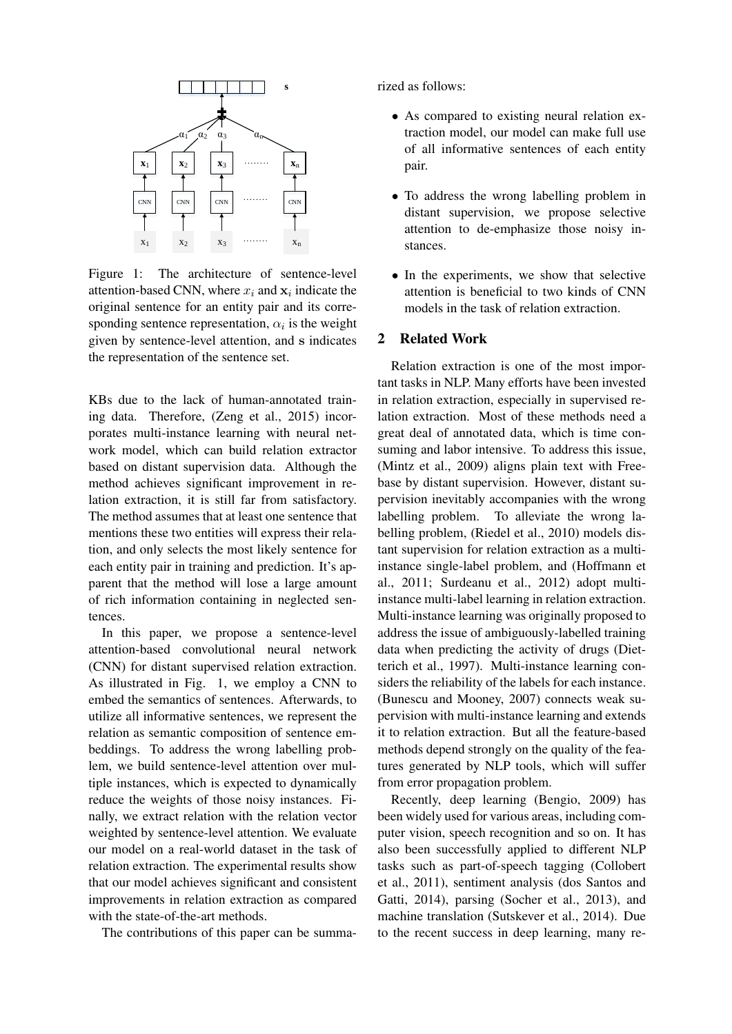

Figure 1: The architecture of sentence-level attention-based CNN, where  $x_i$  and  $x_i$  indicate the original sentence for an entity pair and its corresponding sentence representation,  $\alpha_i$  is the weight given by sentence-level attention, and s indicates the representation of the sentence set.

KBs due to the lack of human-annotated training data. Therefore, (Zeng et al., 2015) incorporates multi-instance learning with neural network model, which can build relation extractor based on distant supervision data. Although the method achieves significant improvement in relation extraction, it is still far from satisfactory. The method assumes that at least one sentence that mentions these two entities will express their relation, and only selects the most likely sentence for each entity pair in training and prediction. It's apparent that the method will lose a large amount of rich information containing in neglected sentences.

In this paper, we propose a sentence-level attention-based convolutional neural network (CNN) for distant supervised relation extraction. As illustrated in Fig. 1, we employ a CNN to embed the semantics of sentences. Afterwards, to utilize all informative sentences, we represent the relation as semantic composition of sentence embeddings. To address the wrong labelling problem, we build sentence-level attention over multiple instances, which is expected to dynamically reduce the weights of those noisy instances. Finally, we extract relation with the relation vector weighted by sentence-level attention. We evaluate our model on a real-world dataset in the task of relation extraction. The experimental results show that our model achieves significant and consistent improvements in relation extraction as compared with the state-of-the-art methods.

The contributions of this paper can be summa-

rized as follows:

- As compared to existing neural relation extraction model, our model can make full use of all informative sentences of each entity pair.
- To address the wrong labelling problem in distant supervision, we propose selective attention to de-emphasize those noisy instances.
- In the experiments, we show that selective attention is beneficial to two kinds of CNN models in the task of relation extraction.

### 2 Related Work

Relation extraction is one of the most important tasks in NLP. Many efforts have been invested in relation extraction, especially in supervised relation extraction. Most of these methods need a great deal of annotated data, which is time consuming and labor intensive. To address this issue, (Mintz et al., 2009) aligns plain text with Freebase by distant supervision. However, distant supervision inevitably accompanies with the wrong labelling problem. To alleviate the wrong labelling problem, (Riedel et al., 2010) models distant supervision for relation extraction as a multiinstance single-label problem, and (Hoffmann et al., 2011; Surdeanu et al., 2012) adopt multiinstance multi-label learning in relation extraction. Multi-instance learning was originally proposed to address the issue of ambiguously-labelled training data when predicting the activity of drugs (Dietterich et al., 1997). Multi-instance learning considers the reliability of the labels for each instance. (Bunescu and Mooney, 2007) connects weak supervision with multi-instance learning and extends it to relation extraction. But all the feature-based methods depend strongly on the quality of the features generated by NLP tools, which will suffer from error propagation problem.

Recently, deep learning (Bengio, 2009) has been widely used for various areas, including computer vision, speech recognition and so on. It has also been successfully applied to different NLP tasks such as part-of-speech tagging (Collobert et al., 2011), sentiment analysis (dos Santos and Gatti, 2014), parsing (Socher et al., 2013), and machine translation (Sutskever et al., 2014). Due to the recent success in deep learning, many re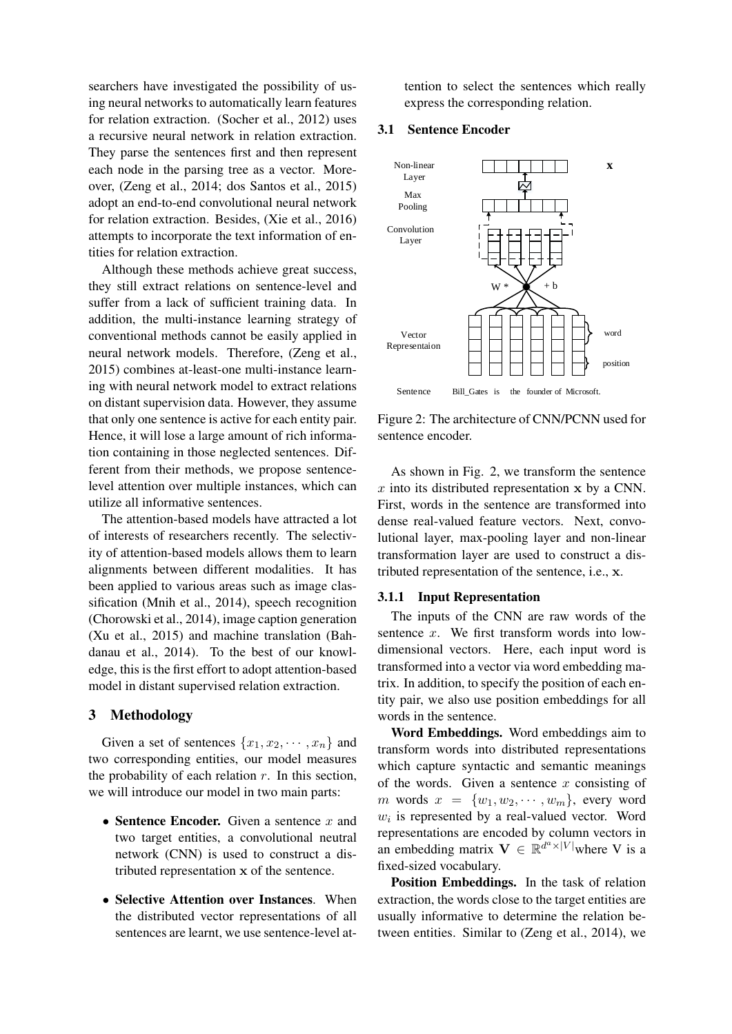searchers have investigated the possibility of using neural networks to automatically learn features for relation extraction. (Socher et al., 2012) uses a recursive neural network in relation extraction. They parse the sentences first and then represent each node in the parsing tree as a vector. Moreover, (Zeng et al., 2014; dos Santos et al., 2015) adopt an end-to-end convolutional neural network for relation extraction. Besides, (Xie et al., 2016) attempts to incorporate the text information of entities for relation extraction.

Although these methods achieve great success, they still extract relations on sentence-level and suffer from a lack of sufficient training data. In addition, the multi-instance learning strategy of conventional methods cannot be easily applied in neural network models. Therefore, (Zeng et al., 2015) combines at-least-one multi-instance learning with neural network model to extract relations on distant supervision data. However, they assume that only one sentence is active for each entity pair. Hence, it will lose a large amount of rich information containing in those neglected sentences. Different from their methods, we propose sentencelevel attention over multiple instances, which can utilize all informative sentences.

The attention-based models have attracted a lot of interests of researchers recently. The selectivity of attention-based models allows them to learn alignments between different modalities. It has been applied to various areas such as image classification (Mnih et al., 2014), speech recognition (Chorowski et al., 2014), image caption generation (Xu et al., 2015) and machine translation (Bahdanau et al., 2014). To the best of our knowledge, this is the first effort to adopt attention-based model in distant supervised relation extraction.

### 3 Methodology

Given a set of sentences  $\{x_1, x_2, \cdots, x_n\}$  and two corresponding entities, our model measures the probability of each relation  $r$ . In this section, we will introduce our model in two main parts:

- Sentence Encoder. Given a sentence  $x$  and two target entities, a convolutional neutral network (CNN) is used to construct a distributed representation x of the sentence.
- Selective Attention over Instances. When the distributed vector representations of all sentences are learnt, we use sentence-level at-

tention to select the sentences which really express the corresponding relation.

#### 3.1 Sentence Encoder



Figure 2: The architecture of CNN/PCNN used for sentence encoder.

As shown in Fig. 2, we transform the sentence  $x$  into its distributed representation  $x$  by a CNN. First, words in the sentence are transformed into dense real-valued feature vectors. Next, convolutional layer, max-pooling layer and non-linear transformation layer are used to construct a distributed representation of the sentence, i.e., x.

### 3.1.1 Input Representation

The inputs of the CNN are raw words of the sentence  $x$ . We first transform words into lowdimensional vectors. Here, each input word is transformed into a vector via word embedding matrix. In addition, to specify the position of each entity pair, we also use position embeddings for all words in the sentence.

Word Embeddings. Word embeddings aim to transform words into distributed representations which capture syntactic and semantic meanings of the words. Given a sentence  $x$  consisting of m words  $x = \{w_1, w_2, \cdots, w_m\}$ , every word  $w_i$  is represented by a real-valued vector. Word representations are encoded by column vectors in an embedding matrix  $\mathbf{V} \in \mathbb{R}^{d^a \times |V|}$  where V is a fixed-sized vocabulary.

Position Embeddings. In the task of relation extraction, the words close to the target entities are usually informative to determine the relation between entities. Similar to (Zeng et al., 2014), we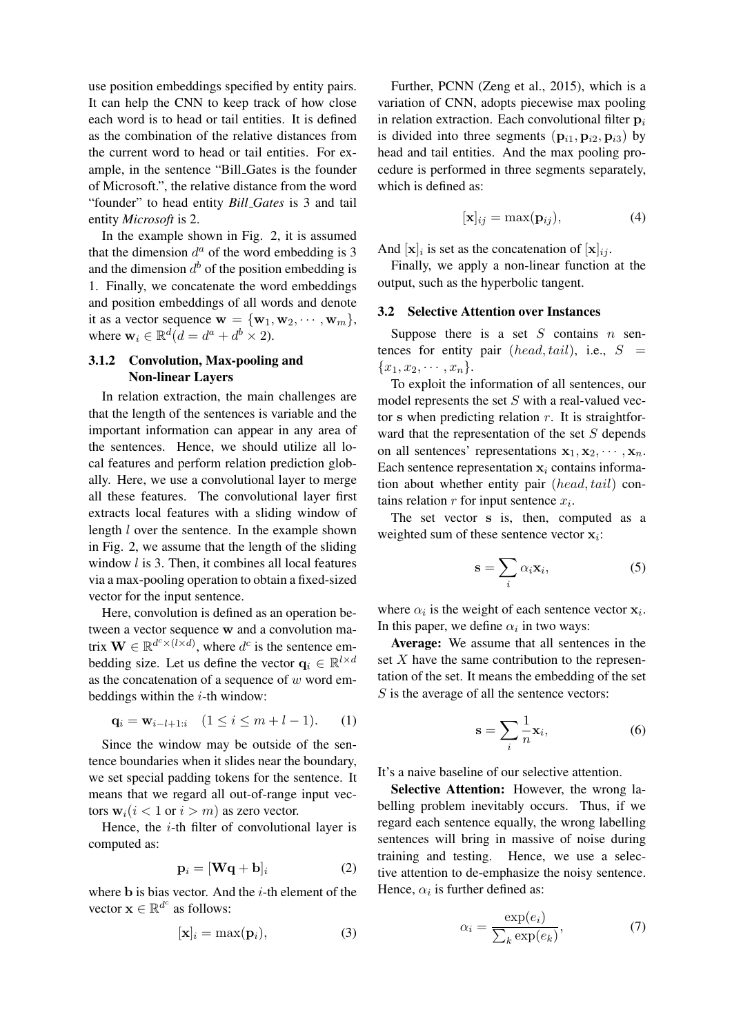use position embeddings specified by entity pairs. It can help the CNN to keep track of how close each word is to head or tail entities. It is defined as the combination of the relative distances from the current word to head or tail entities. For example, in the sentence "Bill Gates is the founder of Microsoft.", the relative distance from the word "founder" to head entity *Bill Gates* is 3 and tail entity *Microsoft* is 2.

In the example shown in Fig. 2, it is assumed that the dimension  $d^a$  of the word embedding is 3 and the dimension  $d^b$  of the position embedding is 1. Finally, we concatenate the word embeddings and position embeddings of all words and denote it as a vector sequence  $\mathbf{w} = \{\mathbf{w}_1, \mathbf{w}_2, \cdots, \mathbf{w}_m\},\$ where  $\mathbf{w}_i \in \mathbb{R}^d (d = d^a + d^b \times 2)$ .

## 3.1.2 Convolution, Max-pooling and Non-linear Layers

In relation extraction, the main challenges are that the length of the sentences is variable and the important information can appear in any area of the sentences. Hence, we should utilize all local features and perform relation prediction globally. Here, we use a convolutional layer to merge all these features. The convolutional layer first extracts local features with a sliding window of length l over the sentence. In the example shown in Fig. 2, we assume that the length of the sliding window  $l$  is 3. Then, it combines all local features via a max-pooling operation to obtain a fixed-sized vector for the input sentence.

Here, convolution is defined as an operation between a vector sequence w and a convolution matrix  $\mathbf{W} \in \mathbb{R}^{d^c \times (l \times d)}$ , where  $d^c$  is the sentence embedding size. Let us define the vector  $\mathbf{q}_i \in \mathbb{R}^{l \times d}$ as the concatenation of a sequence of  $w$  word embeddings within the  $i$ -th window:

$$
\mathbf{q}_i = \mathbf{w}_{i-l+1:i} \quad (1 \le i \le m+l-1). \tag{1}
$$

Since the window may be outside of the sentence boundaries when it slides near the boundary, we set special padding tokens for the sentence. It means that we regard all out-of-range input vectors  $w_i(i < 1$  or  $i > m)$  as zero vector.

Hence, the  $i$ -th filter of convolutional layer is computed as:

$$
\mathbf{p}_i = [\mathbf{W}\mathbf{q} + \mathbf{b}]_i \tag{2}
$$

where  $b$  is bias vector. And the  $i$ -th element of the vector  $\mathbf{x} \in \mathbb{R}^{d^c}$  as follows:

$$
[\mathbf{x}]_i = \max(\mathbf{p}_i),\tag{3}
$$

Further, PCNN (Zeng et al., 2015), which is a variation of CNN, adopts piecewise max pooling in relation extraction. Each convolutional filter  $p_i$ is divided into three segments  $(p_{i1}, p_{i2}, p_{i3})$  by head and tail entities. And the max pooling procedure is performed in three segments separately, which is defined as:

$$
[\mathbf{x}]_{ij} = \max(\mathbf{p}_{ij}),\tag{4}
$$

And  $[\mathbf{x}]_i$  is set as the concatenation of  $[\mathbf{x}]_{ij}$ .

Finally, we apply a non-linear function at the output, such as the hyperbolic tangent.

#### 3.2 Selective Attention over Instances

Suppose there is a set  $S$  contains  $n$  sentences for entity pair (head, tail), i.e.,  $S =$  ${x_1, x_2, \cdots, x_n}.$ 

To exploit the information of all sentences, our model represents the set  $S$  with a real-valued vector s when predicting relation  $r$ . It is straightforward that the representation of the set  $S$  depends on all sentences' representations  $x_1, x_2, \cdots, x_n$ . Each sentence representation  $x_i$  contains information about whether entity pair (head, tail) contains relation  $r$  for input sentence  $x_i$ .

The set vector s is, then, computed as a weighted sum of these sentence vector  $x_i$ :

$$
\mathbf{s} = \sum_{i} \alpha_i \mathbf{x}_i,\tag{5}
$$

where  $\alpha_i$  is the weight of each sentence vector  $\mathbf{x}_i$ . In this paper, we define  $\alpha_i$  in two ways:

Average: We assume that all sentences in the set  $X$  have the same contribution to the representation of the set. It means the embedding of the set  $S$  is the average of all the sentence vectors:

$$
\mathbf{s} = \sum_{i} \frac{1}{n} \mathbf{x}_i,\tag{6}
$$

It's a naive baseline of our selective attention.

Selective Attention: However, the wrong labelling problem inevitably occurs. Thus, if we regard each sentence equally, the wrong labelling sentences will bring in massive of noise during training and testing. Hence, we use a selective attention to de-emphasize the noisy sentence. Hence,  $\alpha_i$  is further defined as:

$$
\alpha_i = \frac{\exp(e_i)}{\sum_k \exp(e_k)},\tag{7}
$$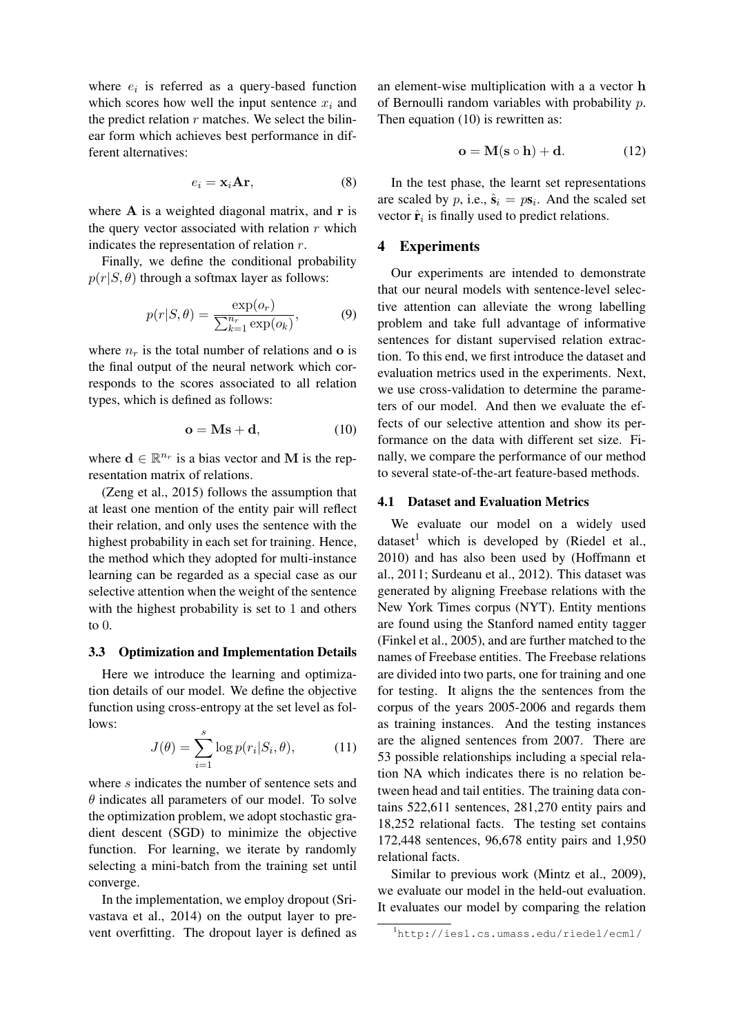where  $e_i$  is referred as a query-based function which scores how well the input sentence  $x_i$  and the predict relation  $r$  matches. We select the bilinear form which achieves best performance in different alternatives:

$$
e_i = \mathbf{x}_i \mathbf{Ar},\tag{8}
$$

where  $A$  is a weighted diagonal matrix, and  $r$  is the query vector associated with relation  $r$  which indicates the representation of relation r.

Finally, we define the conditional probability  $p(r|S, \theta)$  through a softmax layer as follows:

$$
p(r|S,\theta) = \frac{\exp(o_r)}{\sum_{k=1}^{n_r} \exp(o_k)},
$$
\n(9)

where  $n_r$  is the total number of relations and o is the final output of the neural network which corresponds to the scores associated to all relation types, which is defined as follows:

$$
\mathbf{o} = \mathbf{M}\mathbf{s} + \mathbf{d},\tag{10}
$$

where  $\mathbf{d} \in \mathbb{R}^{n_r}$  is a bias vector and M is the representation matrix of relations.

(Zeng et al., 2015) follows the assumption that at least one mention of the entity pair will reflect their relation, and only uses the sentence with the highest probability in each set for training. Hence, the method which they adopted for multi-instance learning can be regarded as a special case as our selective attention when the weight of the sentence with the highest probability is set to 1 and others to 0.

## 3.3 Optimization and Implementation Details

Here we introduce the learning and optimization details of our model. We define the objective function using cross-entropy at the set level as follows:

$$
J(\theta) = \sum_{i=1}^{s} \log p(r_i|S_i, \theta), \quad (11)
$$

where s indicates the number of sentence sets and  $\theta$  indicates all parameters of our model. To solve the optimization problem, we adopt stochastic gradient descent (SGD) to minimize the objective function. For learning, we iterate by randomly selecting a mini-batch from the training set until converge.

In the implementation, we employ dropout (Srivastava et al., 2014) on the output layer to prevent overfitting. The dropout layer is defined as an element-wise multiplication with a a vector h of Bernoulli random variables with probability p. Then equation (10) is rewritten as:

$$
\mathbf{o} = \mathbf{M}(\mathbf{s} \circ \mathbf{h}) + \mathbf{d}.\tag{12}
$$

In the test phase, the learnt set representations are scaled by p, i.e.,  $\hat{\mathbf{s}}_i = p\mathbf{s}_i$ . And the scaled set vector  $\hat{\mathbf{r}}_i$  is finally used to predict relations.

## 4 Experiments

Our experiments are intended to demonstrate that our neural models with sentence-level selective attention can alleviate the wrong labelling problem and take full advantage of informative sentences for distant supervised relation extraction. To this end, we first introduce the dataset and evaluation metrics used in the experiments. Next, we use cross-validation to determine the parameters of our model. And then we evaluate the effects of our selective attention and show its performance on the data with different set size. Finally, we compare the performance of our method to several state-of-the-art feature-based methods.

#### 4.1 Dataset and Evaluation Metrics

We evaluate our model on a widely used dataset<sup>1</sup> which is developed by (Riedel et al., 2010) and has also been used by (Hoffmann et al., 2011; Surdeanu et al., 2012). This dataset was generated by aligning Freebase relations with the New York Times corpus (NYT). Entity mentions are found using the Stanford named entity tagger (Finkel et al., 2005), and are further matched to the names of Freebase entities. The Freebase relations are divided into two parts, one for training and one for testing. It aligns the the sentences from the corpus of the years 2005-2006 and regards them as training instances. And the testing instances are the aligned sentences from 2007. There are 53 possible relationships including a special relation NA which indicates there is no relation between head and tail entities. The training data contains 522,611 sentences, 281,270 entity pairs and 18,252 relational facts. The testing set contains 172,448 sentences, 96,678 entity pairs and 1,950 relational facts.

Similar to previous work (Mintz et al., 2009), we evaluate our model in the held-out evaluation. It evaluates our model by comparing the relation

<sup>1</sup>http://iesl.cs.umass.edu/riedel/ecml/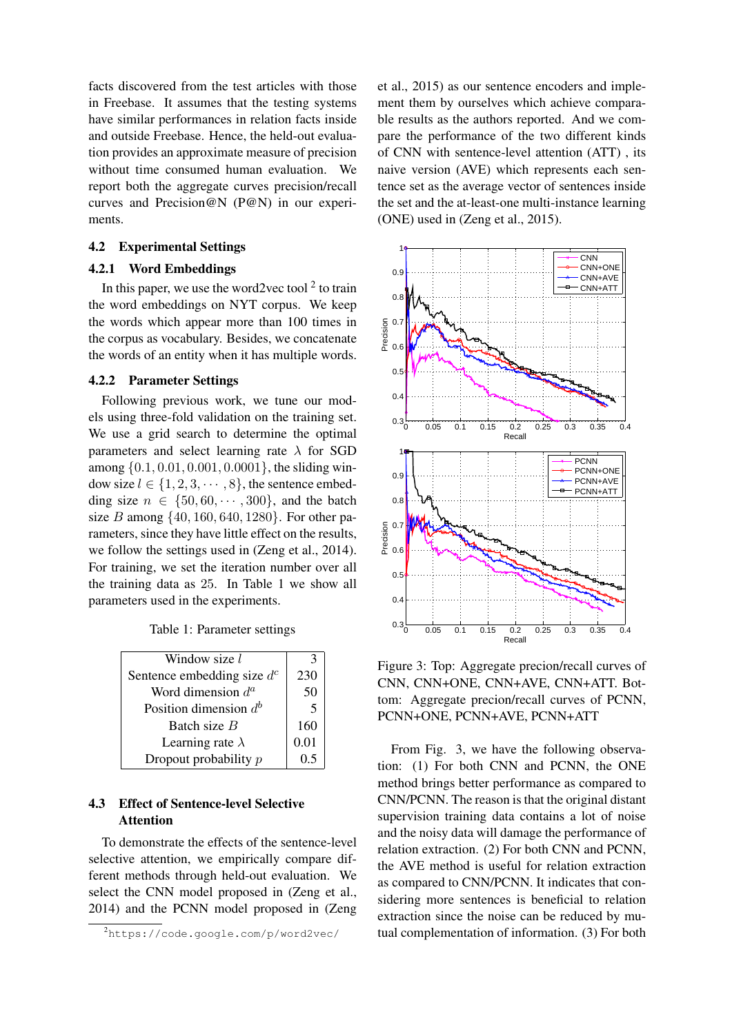facts discovered from the test articles with those in Freebase. It assumes that the testing systems have similar performances in relation facts inside and outside Freebase. Hence, the held-out evaluation provides an approximate measure of precision without time consumed human evaluation. We report both the aggregate curves precision/recall curves and Precision@N (P@N) in our experiments.

## 4.2 Experimental Settings

### 4.2.1 Word Embeddings

In this paper, we use the word2vec tool  $2$  to train the word embeddings on NYT corpus. We keep the words which appear more than 100 times in the corpus as vocabulary. Besides, we concatenate the words of an entity when it has multiple words.

#### 4.2.2 Parameter Settings

Following previous work, we tune our models using three-fold validation on the training set. We use a grid search to determine the optimal parameters and select learning rate  $\lambda$  for SGD among {0.1, 0.01, 0.001, 0.0001}, the sliding window size  $l \in \{1, 2, 3, \dots, 8\}$ , the sentence embedding size  $n \in \{50, 60, \dots, 300\}$ , and the batch size B among  $\{40, 160, 640, 1280\}$ . For other parameters, since they have little effect on the results, we follow the settings used in (Zeng et al., 2014). For training, we set the iteration number over all the training data as 25. In Table 1 we show all parameters used in the experiments.

Table 1: Parameter settings

| 3    |
|------|
| 230  |
| 50   |
| 5    |
| 160  |
| 0.01 |
| 0.5  |
|      |

## 4.3 Effect of Sentence-level Selective **Attention**

To demonstrate the effects of the sentence-level selective attention, we empirically compare different methods through held-out evaluation. We select the CNN model proposed in (Zeng et al., 2014) and the PCNN model proposed in (Zeng et al., 2015) as our sentence encoders and implement them by ourselves which achieve comparable results as the authors reported. And we compare the performance of the two different kinds of CNN with sentence-level attention (ATT) , its naive version (AVE) which represents each sentence set as the average vector of sentences inside the set and the at-least-one multi-instance learning (ONE) used in (Zeng et al., 2015).



Figure 3: Top: Aggregate precion/recall curves of CNN, CNN+ONE, CNN+AVE, CNN+ATT. Bottom: Aggregate precion/recall curves of PCNN, PCNN+ONE, PCNN+AVE, PCNN+ATT

From Fig. 3, we have the following observation: (1) For both CNN and PCNN, the ONE method brings better performance as compared to CNN/PCNN. The reason is that the original distant supervision training data contains a lot of noise and the noisy data will damage the performance of relation extraction. (2) For both CNN and PCNN, the AVE method is useful for relation extraction as compared to CNN/PCNN. It indicates that considering more sentences is beneficial to relation extraction since the noise can be reduced by mutual complementation of information. (3) For both

<sup>2</sup>https://code.google.com/p/word2vec/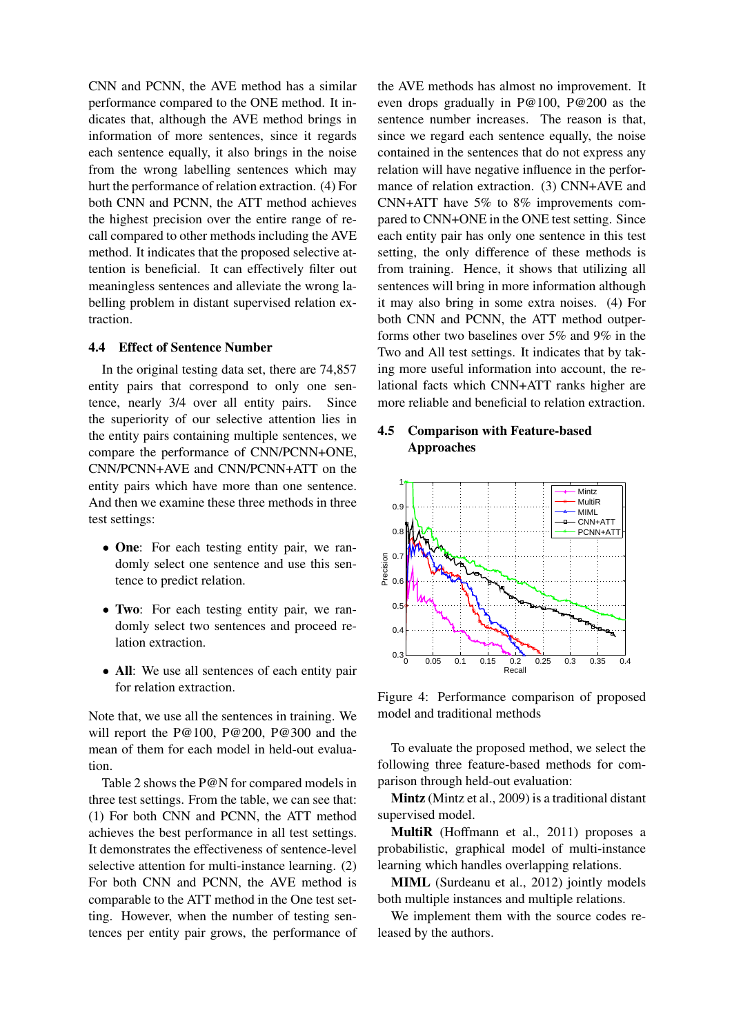CNN and PCNN, the AVE method has a similar performance compared to the ONE method. It indicates that, although the AVE method brings in information of more sentences, since it regards each sentence equally, it also brings in the noise from the wrong labelling sentences which may hurt the performance of relation extraction. (4) For both CNN and PCNN, the ATT method achieves the highest precision over the entire range of recall compared to other methods including the AVE method. It indicates that the proposed selective attention is beneficial. It can effectively filter out meaningless sentences and alleviate the wrong labelling problem in distant supervised relation extraction.

#### 4.4 Effect of Sentence Number

In the original testing data set, there are 74,857 entity pairs that correspond to only one sentence, nearly 3/4 over all entity pairs. Since the superiority of our selective attention lies in the entity pairs containing multiple sentences, we compare the performance of CNN/PCNN+ONE, CNN/PCNN+AVE and CNN/PCNN+ATT on the entity pairs which have more than one sentence. And then we examine these three methods in three test settings:

- One: For each testing entity pair, we randomly select one sentence and use this sentence to predict relation.
- Two: For each testing entity pair, we randomly select two sentences and proceed relation extraction.
- All: We use all sentences of each entity pair for relation extraction.

Note that, we use all the sentences in training. We will report the P@100, P@200, P@300 and the mean of them for each model in held-out evaluation.

Table 2 shows the P@N for compared models in three test settings. From the table, we can see that: (1) For both CNN and PCNN, the ATT method achieves the best performance in all test settings. It demonstrates the effectiveness of sentence-level selective attention for multi-instance learning. (2) For both CNN and PCNN, the AVE method is comparable to the ATT method in the One test setting. However, when the number of testing sentences per entity pair grows, the performance of

the AVE methods has almost no improvement. It even drops gradually in P@100, P@200 as the sentence number increases. The reason is that, since we regard each sentence equally, the noise contained in the sentences that do not express any relation will have negative influence in the performance of relation extraction. (3) CNN+AVE and CNN+ATT have 5% to 8% improvements compared to CNN+ONE in the ONE test setting. Since each entity pair has only one sentence in this test setting, the only difference of these methods is from training. Hence, it shows that utilizing all sentences will bring in more information although it may also bring in some extra noises. (4) For both CNN and PCNN, the ATT method outperforms other two baselines over 5% and 9% in the Two and All test settings. It indicates that by taking more useful information into account, the relational facts which CNN+ATT ranks higher are more reliable and beneficial to relation extraction.

## 4.5 Comparison with Feature-based Approaches



Figure 4: Performance comparison of proposed model and traditional methods

To evaluate the proposed method, we select the following three feature-based methods for comparison through held-out evaluation:

Mintz (Mintz et al., 2009) is a traditional distant supervised model.

MultiR (Hoffmann et al., 2011) proposes a probabilistic, graphical model of multi-instance learning which handles overlapping relations.

MIML (Surdeanu et al., 2012) jointly models both multiple instances and multiple relations.

We implement them with the source codes released by the authors.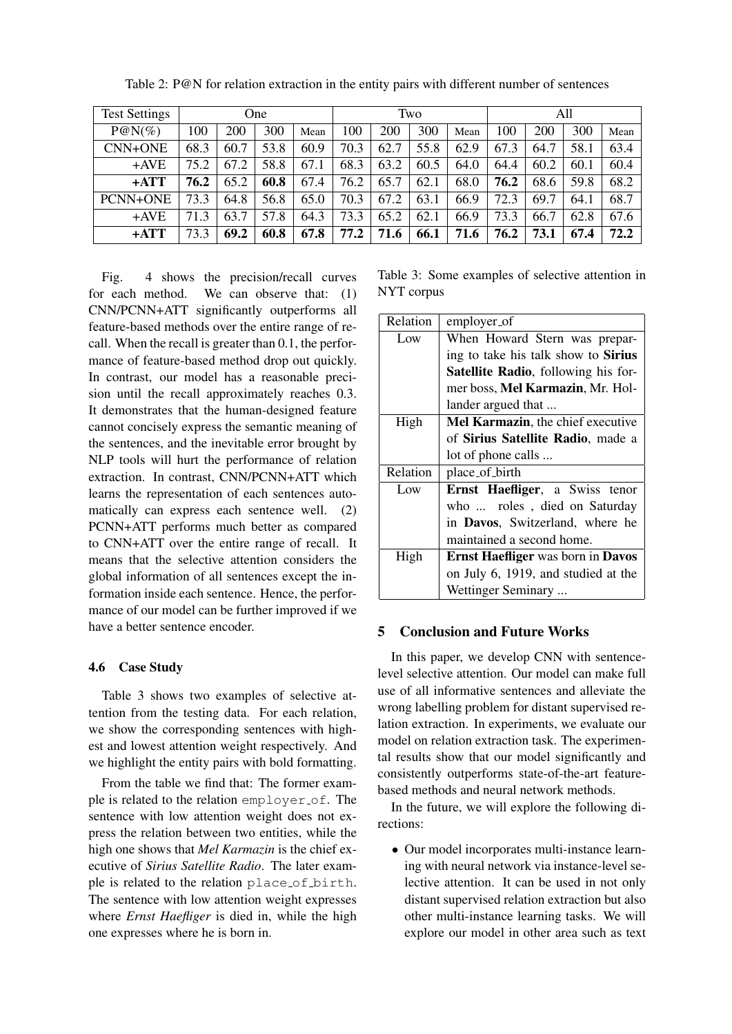| <b>Test Settings</b> | One  |      |      |      | Two  |      |      |      | All  |      |      |      |
|----------------------|------|------|------|------|------|------|------|------|------|------|------|------|
| $P@N(\%)$            | 100  | 200  | 300  | Mean | 100  | 200  | 300  | Mean | 100  | 200  | 300  | Mean |
| <b>CNN+ONE</b>       | 68.3 | 60.7 | 53.8 | 60.9 | 70.3 | 62.7 | 55.8 | 62.9 | 67.3 | 64.7 | 58.1 | 63.4 |
| $+AVE$               | 75.2 | 67.2 | 58.8 | 67.1 | 68.3 | 63.2 | 60.5 | 64.0 | 64.4 | 60.2 | 60.1 | 60.4 |
| $+ATT$               | 76.2 | 65.2 | 60.8 | 67.4 | 76.2 | 65.7 | 62.1 | 68.0 | 76.2 | 68.6 | 59.8 | 68.2 |
| PCNN+ONE             | 73.3 | 64.8 | 56.8 | 65.0 | 70.3 | 67.2 | 63.1 | 66.9 | 72.3 | 69.7 | 64.1 | 68.7 |
| $+$ AVE              | 71.3 | 63.7 | 57.8 | 64.3 | 73.3 | 65.2 | 62.1 | 66.9 | 73.3 | 66.7 | 62.8 | 67.6 |
| +ATT                 | 73.3 | 69.2 | 60.8 | 67.8 | 77.2 | 71.6 | 66.1 | 71.6 | 76.2 | 73.1 | 67.4 | 72.2 |

Table 2: P@N for relation extraction in the entity pairs with different number of sentences

Fig. 4 shows the precision/recall curves for each method. We can observe that: (1) CNN/PCNN+ATT significantly outperforms all feature-based methods over the entire range of recall. When the recall is greater than 0.1, the performance of feature-based method drop out quickly. In contrast, our model has a reasonable precision until the recall approximately reaches 0.3. It demonstrates that the human-designed feature cannot concisely express the semantic meaning of the sentences, and the inevitable error brought by NLP tools will hurt the performance of relation extraction. In contrast, CNN/PCNN+ATT which learns the representation of each sentences automatically can express each sentence well. (2) PCNN+ATT performs much better as compared to CNN+ATT over the entire range of recall. It means that the selective attention considers the global information of all sentences except the information inside each sentence. Hence, the performance of our model can be further improved if we have a better sentence encoder.

## 4.6 Case Study

Table 3 shows two examples of selective attention from the testing data. For each relation, we show the corresponding sentences with highest and lowest attention weight respectively. And we highlight the entity pairs with bold formatting.

From the table we find that: The former example is related to the relation employer of. The sentence with low attention weight does not express the relation between two entities, while the high one shows that *Mel Karmazin* is the chief executive of *Sirius Satellite Radio*. The later example is related to the relation place of birth. The sentence with low attention weight expresses where *Ernst Haefliger* is died in, while the high one expresses where he is born in.

Table 3: Some examples of selective attention in NYT corpus

| Relation | employer_of                                     |
|----------|-------------------------------------------------|
| Low      | When Howard Stern was prepar-                   |
|          | ing to take his talk show to <b>Sirius</b>      |
|          | Satellite Radio, following his for-             |
|          | mer boss, Mel Karmazin, Mr. Hol-                |
|          | lander argued that                              |
| High     | Mel Karmazin, the chief executive               |
|          | of Sirius Satellite Radio, made a               |
|          | lot of phone calls                              |
| Relation | place_of_birth                                  |
| Low      | Ernst Haefliger, a Swiss tenor                  |
|          | who  roles, died on Saturday                    |
|          | in Davos, Switzerland, where he                 |
|          | maintained a second home.                       |
| High     | <b>Ernst Haefliger</b> was born in <b>Davos</b> |
|          | on July 6, 1919, and studied at the             |
|          | Wettinger Seminary                              |

## 5 Conclusion and Future Works

In this paper, we develop CNN with sentencelevel selective attention. Our model can make full use of all informative sentences and alleviate the wrong labelling problem for distant supervised relation extraction. In experiments, we evaluate our model on relation extraction task. The experimental results show that our model significantly and consistently outperforms state-of-the-art featurebased methods and neural network methods.

In the future, we will explore the following directions:

• Our model incorporates multi-instance learning with neural network via instance-level selective attention. It can be used in not only distant supervised relation extraction but also other multi-instance learning tasks. We will explore our model in other area such as text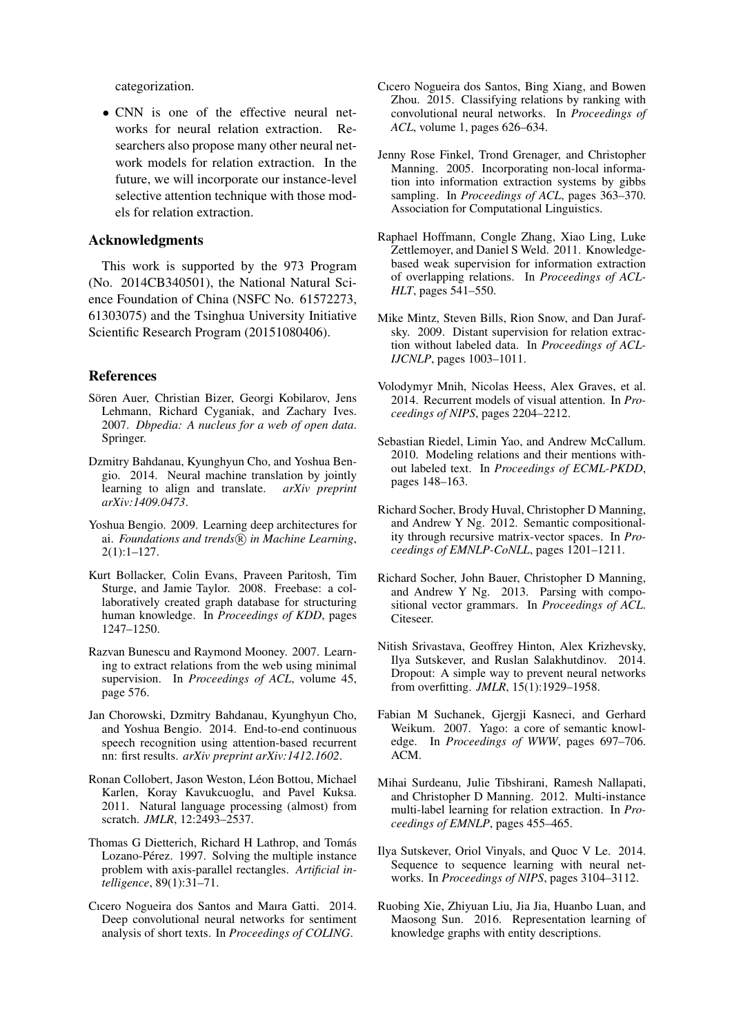categorization.

• CNN is one of the effective neural networks for neural relation extraction. Researchers also propose many other neural network models for relation extraction. In the future, we will incorporate our instance-level selective attention technique with those models for relation extraction.

## Acknowledgments

This work is supported by the 973 Program (No. 2014CB340501), the National Natural Science Foundation of China (NSFC No. 61572273, 61303075) and the Tsinghua University Initiative Scientific Research Program (20151080406).

#### References

- Sören Auer, Christian Bizer, Georgi Kobilarov, Jens Lehmann, Richard Cyganiak, and Zachary Ives. 2007. *Dbpedia: A nucleus for a web of open data*. Springer.
- Dzmitry Bahdanau, Kyunghyun Cho, and Yoshua Bengio. 2014. Neural machine translation by jointly learning to align and translate. *arXiv preprint arXiv:1409.0473*.
- Yoshua Bengio. 2009. Learning deep architectures for ai. *Foundations and trends*( $\widehat{R}$ ) in Machine Learning, 2(1):1–127.
- Kurt Bollacker, Colin Evans, Praveen Paritosh, Tim Sturge, and Jamie Taylor. 2008. Freebase: a collaboratively created graph database for structuring human knowledge. In *Proceedings of KDD*, pages 1247–1250.
- Razvan Bunescu and Raymond Mooney. 2007. Learning to extract relations from the web using minimal supervision. In *Proceedings of ACL*, volume 45, page 576.
- Jan Chorowski, Dzmitry Bahdanau, Kyunghyun Cho, and Yoshua Bengio. 2014. End-to-end continuous speech recognition using attention-based recurrent nn: first results. *arXiv preprint arXiv:1412.1602*.
- Ronan Collobert, Jason Weston, Léon Bottou, Michael Karlen, Koray Kavukcuoglu, and Pavel Kuksa. 2011. Natural language processing (almost) from scratch. *JMLR*, 12:2493-2537.
- Thomas G Dietterich, Richard H Lathrop, and Tomás Lozano-Pérez. 1997. Solving the multiple instance problem with axis-parallel rectangles. *Artificial intelligence*, 89(1):31–71.
- Cıcero Nogueira dos Santos and Maıra Gatti. 2014. Deep convolutional neural networks for sentiment analysis of short texts. In *Proceedings of COLING*.
- Cıcero Nogueira dos Santos, Bing Xiang, and Bowen Zhou. 2015. Classifying relations by ranking with convolutional neural networks. In *Proceedings of ACL*, volume 1, pages 626–634.
- Jenny Rose Finkel, Trond Grenager, and Christopher Manning. 2005. Incorporating non-local information into information extraction systems by gibbs sampling. In *Proceedings of ACL*, pages 363–370. Association for Computational Linguistics.
- Raphael Hoffmann, Congle Zhang, Xiao Ling, Luke Zettlemoyer, and Daniel S Weld. 2011. Knowledgebased weak supervision for information extraction of overlapping relations. In *Proceedings of ACL-HLT*, pages 541–550.
- Mike Mintz, Steven Bills, Rion Snow, and Dan Jurafsky. 2009. Distant supervision for relation extraction without labeled data. In *Proceedings of ACL-IJCNLP*, pages 1003–1011.
- Volodymyr Mnih, Nicolas Heess, Alex Graves, et al. 2014. Recurrent models of visual attention. In *Proceedings of NIPS*, pages 2204–2212.
- Sebastian Riedel, Limin Yao, and Andrew McCallum. 2010. Modeling relations and their mentions without labeled text. In *Proceedings of ECML-PKDD*, pages 148–163.
- Richard Socher, Brody Huval, Christopher D Manning, and Andrew Y Ng. 2012. Semantic compositionality through recursive matrix-vector spaces. In *Proceedings of EMNLP-CoNLL*, pages 1201–1211.
- Richard Socher, John Bauer, Christopher D Manning, and Andrew Y Ng. 2013. Parsing with compositional vector grammars. In *Proceedings of ACL*. Citeseer.
- Nitish Srivastava, Geoffrey Hinton, Alex Krizhevsky, Ilya Sutskever, and Ruslan Salakhutdinov. 2014. Dropout: A simple way to prevent neural networks from overfitting. *JMLR*, 15(1):1929–1958.
- Fabian M Suchanek, Gjergji Kasneci, and Gerhard Weikum. 2007. Yago: a core of semantic knowledge. In *Proceedings of WWW*, pages 697–706. ACM.
- Mihai Surdeanu, Julie Tibshirani, Ramesh Nallapati, and Christopher D Manning. 2012. Multi-instance multi-label learning for relation extraction. In *Proceedings of EMNLP*, pages 455–465.
- Ilya Sutskever, Oriol Vinyals, and Quoc V Le. 2014. Sequence to sequence learning with neural networks. In *Proceedings of NIPS*, pages 3104–3112.
- Ruobing Xie, Zhiyuan Liu, Jia Jia, Huanbo Luan, and Maosong Sun. 2016. Representation learning of knowledge graphs with entity descriptions.